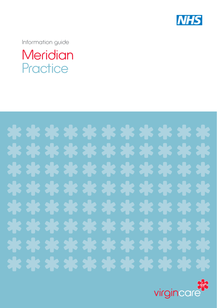

Information guide

# **Meridian Practice**



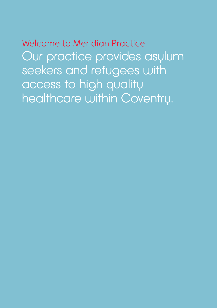Welcome to Meridian Practice Our practice provides asylum seekers and refugees with access to high quality healthcare within Coventry.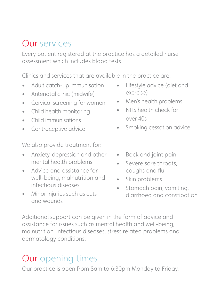#### Our services

Every patient registered at the practice has a detailed nurse assessment which includes blood tests.

Clinics and services that are available in the practice are:

- Adult catch-up immunisation
- Antenatal clinic (midwife)
- Cervical screening for women
- Child health monitoring
- Child immunisations
- Contraceptive advice

We also provide treatment for:

- Anxiety, depression and other mental health problems
- Advice and assistance for well-being, malnutrition and infectious diseases
- Minor injuries such as cuts and wounds
- Lifestyle advice (diet and exercise)
- Men's health problems
- NHS health check for over 40s
- Smoking cessation advice
- Back and joint pain
- Severe sore throats, coughs and flu
- Skin problems
- Stomach pain, vomiting, diarrhoea and constipation

Additional support can be given in the form of advice and assistance for issues such as mental health and well-being, malnutrition, infectious diseases, stress related problems and dermatology conditions.

## Our opening times

Our practice is open from 8am to 6:30pm Monday to Friday.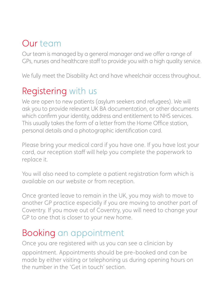#### Our team

Our team is managed by a general manager and we offer a range of GPs, nurses and healthcare staff to provide you with a high quality service.

We fully meet the Disability Act and have wheelchair access throughout.

#### Registering with us

We are open to new patients (asylum seekers and refugees). We will ask you to provide relevant UK BA documentation, or other documents which confirm your identity, address and entitlement to NHS services. This usually takes the form of a letter from the Home Office station, personal details and a photographic identification card.

Please bring your medical card if you have one. If you have lost your card, our reception staff will help you complete the paperwork to replace it.

You will also need to complete a patient registration form which is available on our website or from reception.

Once granted leave to remain in the UK, you may wish to move to another GP practice especially if you are moving to another part of Coventry. If you move out of Coventry, you will need to change your GP to one that is closer to your new home.

#### Booking an appointment

Once you are registered with us you can see a clinician by appointment. Appointments should be pre-booked and can be made by either visiting or telephoning us during opening hours on the number in the 'Get in touch' section.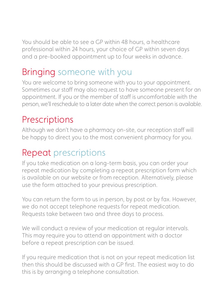You should be able to see a GP within 48 hours, a healthcare professional within 24 hours, your choice of GP within seven days and a pre-booked appointment up to four weeks in advance.

## Bringing someone with you

You are welcome to bring someone with you to your appointment. Sometimes our staff may also request to have someone present for an appointment. If you or the member of staff is uncomfortable with the person, we'll reschedule to a later date when the correct person is available.

#### **Prescriptions**

Although we don't have a pharmacy on-site, our reception staff will be happy to direct you to the most convenient pharmacy for you.

#### Repeat prescriptions

If you take medication on a long-term basis, you can order your repeat medication by completing a repeat prescription form which is available on our website or from reception. Alternatively, please use the form attached to your previous prescription.

You can return the form to us in person, by post or by fax. However, we do not accept telephone requests for repeat medication. Requests take between two and three days to process.

We will conduct a review of your medication at regular intervals. This may require you to attend an appointment with a doctor before a repeat prescription can be issued.

If you require medication that is not on your repeat medication list then this should be discussed with a GP first. The easiest way to do this is by arranging a telephone consultation.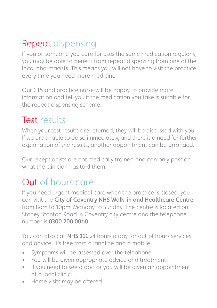## Repeat dispensing

If you or someone you care for uses the same medication regularly, you may be able to benefit from repeat dispensing from one of the local pharmacists. This means you will not have to visit the practice every time you need more medicine.

Our GPs and practice nurse will be happy to provide more information and tell you if the medication you take is suitable for the repeat dispensing scheme.

#### Test results

When your test results are returned, they will be discussed with you. If we are unable to do so immediately, and there is a need for further explanation of the results, another appointment can be arranged.

Our receptionists are not medically trained and can only pass on what the clinician has told them.

#### Out of hours care

If you need urgent medical care when the practice is closed, you can visit the City of Coventry NHS Walk-in and Healthcare Centre from 8am to 10pm, Monday to Sunday. The centre is located on Stoney Stanton Road in Coventry city centre and the telephone number is 0300 200 0060.

You can also call NHS 111 24 hours a day for out of hours services and advice. It's free from a landline and a mobile.

- Symptoms will be assessed over the telephone.
- You will be given appropriate advice and treatment.
- If you need to see a doctor you will be given an appointment at a local clinic.
- Home visits may be offered.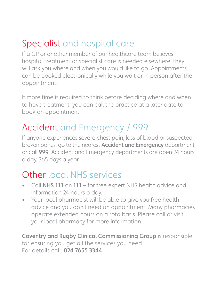## Specialist and hospital care

If a GP or another member of our healthcare team believes hospital treatment or specialist care is needed elsewhere, they will ask you where and when you would like to go. Appointments can be booked electronically while you wait or in person after the appointment.

If more time is required to think before deciding where and when to have treatment, you can call the practice at a later date to book an appointment.

#### Accident and Emergency / 999

If anyone experiences severe chest pain, loss of blood or suspected broken bones, go to the nearest Accident and Emergency department or call 999. Accident and Emergency departments are open 24 hours a day, 365 days a year.

## Other local NHS services

- Call NHS 111 on 111 for free expert NHS health advice and information 24 hours a day.
- Your local pharmacist will be able to give you free health advice and you don't need an appointment. Many pharmacies operate extended hours on a rota basis. Please call or visit your local pharmacy for more information.

Coventry and Rugby Clinical Commissioning Group is responsible for ensuring you get all the services you need. For details call: 024 7655 3344.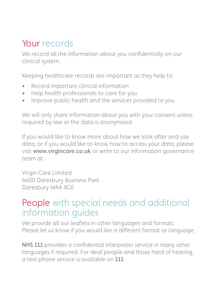## Your records

We record all the information about you confidentially on our clinical system.

Keeping healthcare records are important as they help to:

- Record important clinical information
- Help health professionals to care for you
- Improve public health and the services provided to you

We will only share information about you with your consent unless required by law or the data is anonymised.

If you would like to know more about how we look after and use data, or if you would like to know how to access your data, please visit www.virgincare.co.uk or write to our information governance team at:

Virgin Care Limited 6600 Daresbury Business Park Daresbury WA4 4GE

#### People with special needs and additional information guides

We provide all our leaflets in other languages and formats. Please let us know if you would like a different format or language.

NHS 111 provides a confidential interpreter service in many other languages if required. For deaf people and those hard of hearing, a text phone service is available on 111.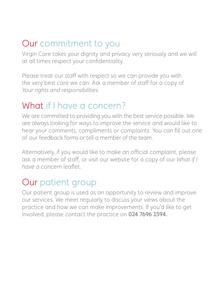#### Our commitment to you

Virgin Care takes your dignity and privacy very seriously and we will at all times respect your confidentiality.

Please treat our staff with respect so we can provide you with the very best care we can. Ask a member of staff for a copy of *Your rights and responsibilities.* 

#### What if I have a concern?

We are committed to providing you with the best service possible. We are always looking for ways to improve the service and would like to hear your comments, compliments or complaints. You can fill out one of our feedback forms or tell a member of the team.

Alternatively, if you would like to make an official complaint, please ask a member of staff, or visit our website for a copy of our *What if I have a concern* leaflet.

#### Our patient group

Our patient group is used as an opportunity to review and improve our services. We meet regularly to discuss your views about the practice and how we can make improvements. If you'd like to get involved, please contact the practice on 024 7696 1594.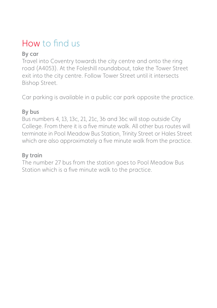## How to find us

#### By car

Travel into Coventry towards the city centre and onto the ring road (A4053). At the Foleshill roundabout, take the Tower Street exit into the city centre. Follow Tower Street until it intersects Bishop Street.

Car parking is available in a public car park opposite the practice.

#### By bus

Bus numbers 4, 13, 13c, 21, 21c, 36 and 36c will stop outside City College. From there it is a five minute walk. All other bus routes will terminate in Pool Meadow Bus Station, Trinity Street or Hales Street which are also approximately a five minute walk from the practice.

#### By train

The number 27 bus from the station goes to Pool Meadow Bus Station which is a five minute walk to the practice.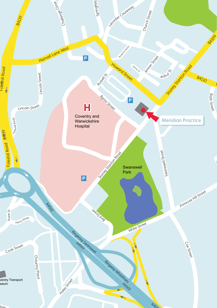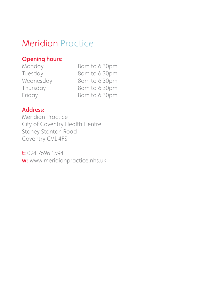#### Meridian Practice

#### Opening hours:

| Monday    | 8am to 6.30pm |
|-----------|---------------|
| Tuesday   | 8am to 6.30pm |
| Wednesday | 8am to 6.30pm |
| Thursday  | 8am to 6.30pm |
| Friday    | 8am to 6.30pm |

#### Address:

Meridian Practice City of Coventry Health Centre Stoney Stanton Road Coventry CV1 4FS

t: 024 7696 1594 w: www.meridianpractice.nhs.uk